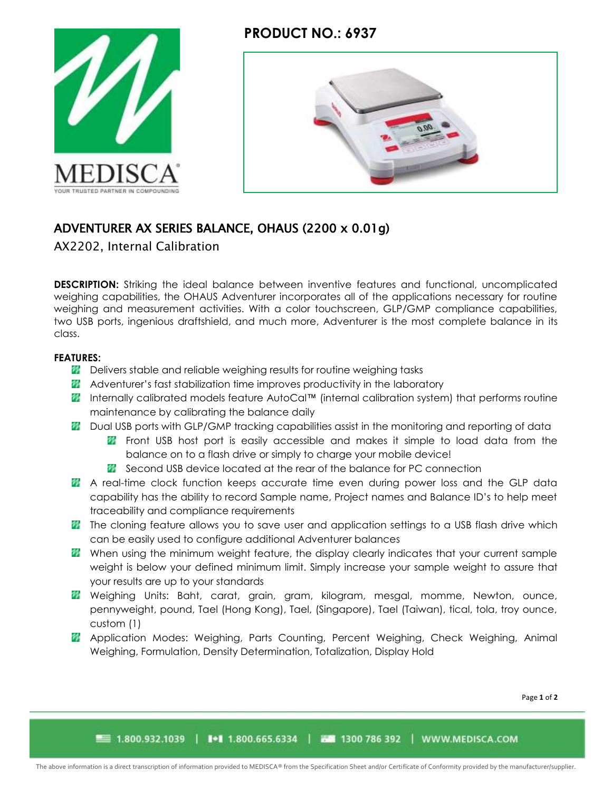## **PRODUCT NO.: 6937**





# ADVENTURER AX SERIES BALANCE, OHAUS (2200 x 0.01g)

AX2202, Internal Calibration

**DESCRIPTION:** Striking the ideal balance between inventive features and functional, uncomplicated weighing capabilities, the OHAUS Adventurer incorporates all of the applications necessary for routine weighing and measurement activities. With a color touchscreen, GLP/GMP compliance capabilities, two USB ports, ingenious draftshield, and much more, Adventurer is the most complete balance in its class.

### **FEATURES:**

- **Delivers stable and reliable weighing results for routine weighing tasks**
- **Adventurer's fast stabilization time improves productivity in the laboratory**
- Internally calibrated models feature AutoCal™ (internal calibration system) that performs routine maintenance by calibrating the balance daily
- **20** Dual USB ports with GLP/GMP tracking capabilities assist in the monitoring and reporting of data
	- **F** Front USB host port is easily accessible and makes it simple to load data from the balance on to a flash drive or simply to charge your mobile device!
	- **X** Second USB device located at the rear of the balance for PC connection
- **A** A real-time clock function keeps accurate time even during power loss and the GLP data capability has the ability to record Sample name, Project names and Balance ID's to help meet traceability and compliance requirements
- **The cloning feature allows you to save user and application settings to a USB flash drive which** can be easily used to configure additional Adventurer balances
- **W** When using the minimum weight feature, the display clearly indicates that your current sample weight is below your defined minimum limit. Simply increase your sample weight to assure that your results are up to your standards
- **W** Weighing Units: Baht, carat, grain, gram, kilogram, mesgal, momme, Newton, ounce, pennyweight, pound, Tael (Hong Kong), Tael, (Singapore), Tael (Taiwan), tical, tola, troy ounce, custom (1)
- **Application Modes: Weighing, Parts Counting, Percent Weighing, Check Weighing, Animal** Weighing, Formulation, Density Determination, Totalization, Display Hold

Page **1** of **2**

■■ 1.800.932.1039 | ■ 1.800.665.6334 | 西蘭 1300 786 392 | WWW.MEDISCA.COM